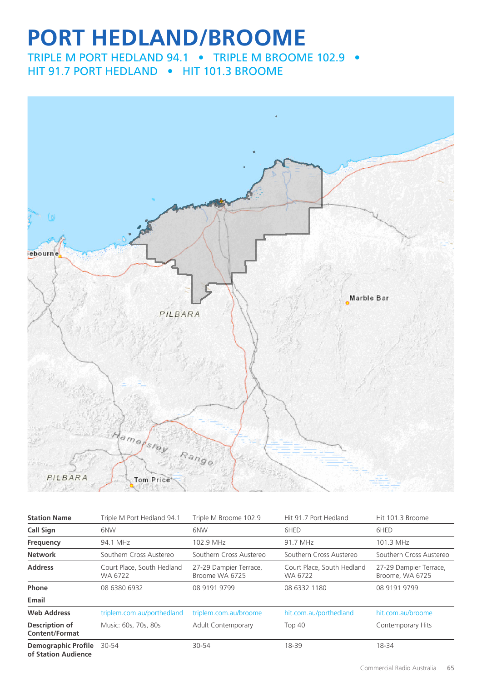# **PORT HEDLAND/BROOME**

TRIPLE M PORT HEDLAND 94.1 • TRIPLE M BROOME 102.9 • HIT 91.7 PORT HEDLAND • HIT 101.3 BROOME



| <b>Station Name</b>                               | Triple M Port Hedland 94.1            | Triple M Broome 102.9                    | Hit 91.7 Port Hedland                 | Hit 101.3 Broome                          |
|---------------------------------------------------|---------------------------------------|------------------------------------------|---------------------------------------|-------------------------------------------|
| Call Sign                                         | 6NW                                   | 6NW                                      | 6HED                                  | 6HED                                      |
| Frequency                                         | 94.1 MHz                              | 102.9 MHz                                | 91.7 MHz                              | 101.3 MHz                                 |
| <b>Network</b>                                    | Southern Cross Austereo               | Southern Cross Austereo                  | Southern Cross Austereo               | Southern Cross Austereo                   |
| <b>Address</b>                                    | Court Place, South Hedland<br>WA 6722 | 27-29 Dampier Terrace,<br>Broome WA 6725 | Court Place, South Hedland<br>WA 6722 | 27-29 Dampier Terrace,<br>Broome, WA 6725 |
| Phone                                             | 08 6380 6932                          | 08 9191 9799                             | 08 6332 1180                          | 08 9191 9799                              |
| Email                                             |                                       |                                          |                                       |                                           |
| <b>Web Address</b>                                | triplem.com.au/porthedland            | triplem.com.au/broome                    | hit.com.au/porthedland                | hit.com.au/broome                         |
| <b>Description of</b><br><b>Content/Format</b>    | Music: 60s, 70s, 80s                  | Adult Contemporary                       | Top 40                                | Contemporary Hits                         |
| <b>Demographic Profile</b><br>of Station Audience | 30-54                                 | 30-54                                    | 18-39                                 | 18-34                                     |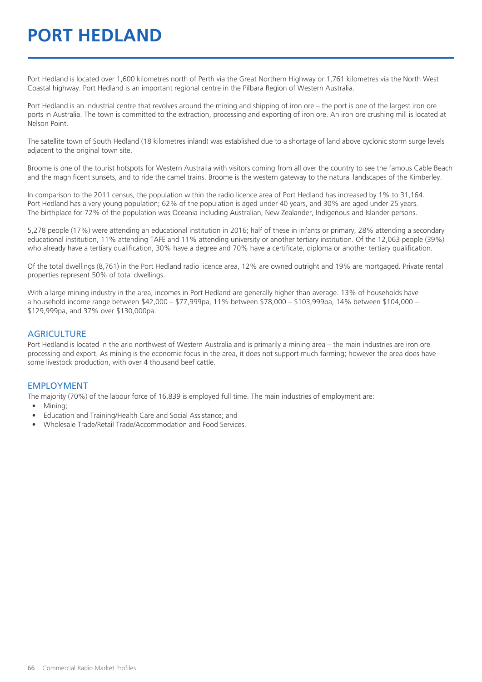# **PORT HEDLAND**

Port Hedland is located over 1,600 kilometres north of Perth via the Great Northern Highway or 1,761 kilometres via the North West Coastal highway. Port Hedland is an important regional centre in the Pilbara Region of Western Australia.

Port Hedland is an industrial centre that revolves around the mining and shipping of iron ore – the port is one of the largest iron ore ports in Australia. The town is committed to the extraction, processing and exporting of iron ore. An iron ore crushing mill is located at Nelson Point.

The satellite town of South Hedland (18 kilometres inland) was established due to a shortage of land above cyclonic storm surge levels adjacent to the original town site.

Broome is one of the tourist hotspots for Western Australia with visitors coming from all over the country to see the famous Cable Beach and the magnificent sunsets, and to ride the camel trains. Broome is the western gateway to the natural landscapes of the Kimberley.

In comparison to the 2011 census, the population within the radio licence area of Port Hedland has increased by 1% to 31,164. Port Hedland has a very young population; 62% of the population is aged under 40 years, and 30% are aged under 25 years. The birthplace for 72% of the population was Oceania including Australian, New Zealander, Indigenous and Islander persons.

5,278 people (17%) were attending an educational institution in 2016; half of these in infants or primary, 28% attending a secondary educational institution, 11% attending TAFE and 11% attending university or another tertiary institution. Of the 12,063 people (39%) who already have a tertiary qualification, 30% have a degree and 70% have a certificate, diploma or another tertiary qualification.

Of the total dwellings (8,761) in the Port Hedland radio licence area, 12% are owned outright and 19% are mortgaged. Private rental properties represent 50% of total dwellings.

With a large mining industry in the area, incomes in Port Hedland are generally higher than average. 13% of households have a household income range between \$42,000 – \$77,999pa, 11% between \$78,000 – \$103,999pa, 14% between \$104,000 – \$129,999pa, and 37% over \$130,000pa.

#### **AGRICULTURE**

Port Hedland is located in the arid northwest of Western Australia and is primarily a mining area – the main industries are iron ore processing and export. As mining is the economic focus in the area, it does not support much farming; however the area does have some livestock production, with over 4 thousand beef cattle.

#### EMPLOYMENT

The majority (70%) of the labour force of 16,839 is employed full time. The main industries of employment are:

- Mining;
- Education and Training/Health Care and Social Assistance; and
- Wholesale Trade/Retail Trade/Accommodation and Food Services.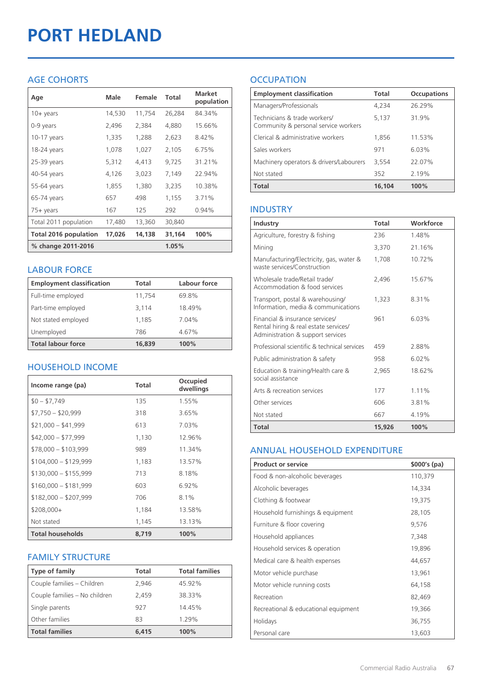# **PORT HEDLAND**

# AGE COHORTS

| Age                   | Male   | Female | Total  | <b>Market</b><br>population |
|-----------------------|--------|--------|--------|-----------------------------|
| $10 + \gamma$ ears    | 14,530 | 11,754 | 26,284 | 84.34%                      |
| 0-9 years             | 2,496  | 2,384  | 4,880  | 15.66%                      |
| $10-17$ years         | 1,335  | 1,288  | 2,623  | 8.42%                       |
| 18-24 years           | 1,078  | 1,027  | 2,105  | 6.75%                       |
| $25-39$ years         | 5,312  | 4,413  | 9,725  | 31.21%                      |
| 40-54 years           | 4,126  | 3,023  | 7,149  | 22.94%                      |
| 55-64 years           | 1,855  | 1,380  | 3,235  | 10.38%                      |
| 65-74 years           | 657    | 498    | 1,155  | 3.71%                       |
| 75+ years             | 167    | 125    | 292    | 0.94%                       |
| Total 2011 population | 17,480 | 13,360 | 30,840 |                             |
| Total 2016 population | 17,026 | 14,138 | 31,164 | 100%                        |
| % change 2011-2016    |        |        | 1.05%  |                             |

### LABOUR FORCE

| <b>Employment classification</b> | Total  | Labour force |
|----------------------------------|--------|--------------|
| Full-time employed               | 11,754 | 69.8%        |
| Part-time employed               | 3,114  | 18.49%       |
| Not stated employed              | 1.185  | 7.04%        |
| Unemployed                       | 786    | 4.67%        |
| <b>Total labour force</b>        | 16,839 | 100%         |

# HOUSEHOLD INCOME

| Income range (pa)       | <b>Total</b> | Occupied<br>dwellings |
|-------------------------|--------------|-----------------------|
| $$0 - $7,749$           | 135          | 1.55%                 |
| $$7,750 - $20,999$      | 318          | 3.65%                 |
| $$21,000 - $41,999$     | 613          | 7.03%                 |
| $$42,000 - $77,999$     | 1,130        | 12.96%                |
| $$78,000 - $103,999$    | 989          | 11.34%                |
| $$104,000 - $129,999$   | 1,183        | 13.57%                |
| $$130,000 - $155,999$   | 713          | 8.18%                 |
| $$160,000 - $181,999$   | 603          | 6.92%                 |
| $$182,000 - $207,999$   | 706          | $8.1\%$               |
| $$208,000+$             | 1,184        | 13.58%                |
| Not stated              | 1,145        | 13.13%                |
| <b>Total households</b> | 8,719        | 100%                  |

# FAMILY STRUCTURE

| <b>Type of family</b>         | <b>Total</b> | <b>Total families</b> |
|-------------------------------|--------------|-----------------------|
| Couple families - Children    | 2,946        | 45.92%                |
| Couple families - No children | 2,459        | 38.33%                |
| Single parents                | 927          | 14.45%                |
| Other families                | 83           | 1.29%                 |
| <b>Total families</b>         | 6.415        | 100%                  |

# **OCCUPATION**

| <b>Employment classification</b>                                     | Total  | <b>Occupations</b> |
|----------------------------------------------------------------------|--------|--------------------|
| Managers/Professionals                                               | 4,234  | 26.29%             |
| Technicians & trade workers/<br>Community & personal service workers | 5,137  | 31.9%              |
| Clerical & administrative workers                                    | 1.856  | 11.53%             |
| Sales workers                                                        | 971    | 6.03%              |
| Machinery operators & drivers/Labourers                              | 3,554  | 22.07%             |
| Not stated                                                           | 352    | 2.19%              |
| <b>Total</b>                                                         | 16,104 | 100%               |

# INDUSTRY

| Industry                                                                                                      | Total  | Workforce |
|---------------------------------------------------------------------------------------------------------------|--------|-----------|
| Agriculture, forestry & fishing                                                                               | 236    | 1.48%     |
| Mining                                                                                                        | 3,370  | 21.16%    |
| Manufacturing/Electricity, gas, water &<br>waste services/Construction                                        | 1,708  | 10.72%    |
| Wholesale trade/Retail trade/<br>Accommodation & food services                                                | 2.496  | 1567%     |
| Transport, postal & warehousing/<br>Information, media & communications                                       | 1,323  | 8.31%     |
| Financial & insurance services/<br>Rental hiring & real estate services/<br>Administration & support services | 961    | 6.03%     |
| Professional scientific & technical services                                                                  | 459    | 2.88%     |
| Public administration & safety                                                                                | 958    | 6.02%     |
| Education & training/Health care &<br>social assistance                                                       | 2,965  | 18.62%    |
| Arts & recreation services                                                                                    | 177    | 1 1 1 %   |
| Other services                                                                                                | 606    | 3.81%     |
| Not stated                                                                                                    | 667    | 4.19%     |
| <b>Total</b>                                                                                                  | 15,926 | 100%      |

# ANNUAL HOUSEHOLD EXPENDITURE

| <b>Product or service</b>            | $$000's$ (pa) |
|--------------------------------------|---------------|
| Food & non-alcoholic beverages       | 110,379       |
| Alcoholic beverages                  | 14,334        |
| Clothing & footwear                  | 19,375        |
| Household furnishings & equipment    | 28,105        |
| Furniture & floor covering           | 9,576         |
| Household appliances                 | 7,348         |
| Household services & operation       | 19,896        |
| Medical care & health expenses       | 44,657        |
| Motor vehicle purchase               | 13,961        |
| Motor vehicle running costs          | 64,158        |
| Recreation                           | 82,469        |
| Recreational & educational equipment | 19,366        |
| Holidays                             | 36,755        |
| Personal care                        | 13,603        |